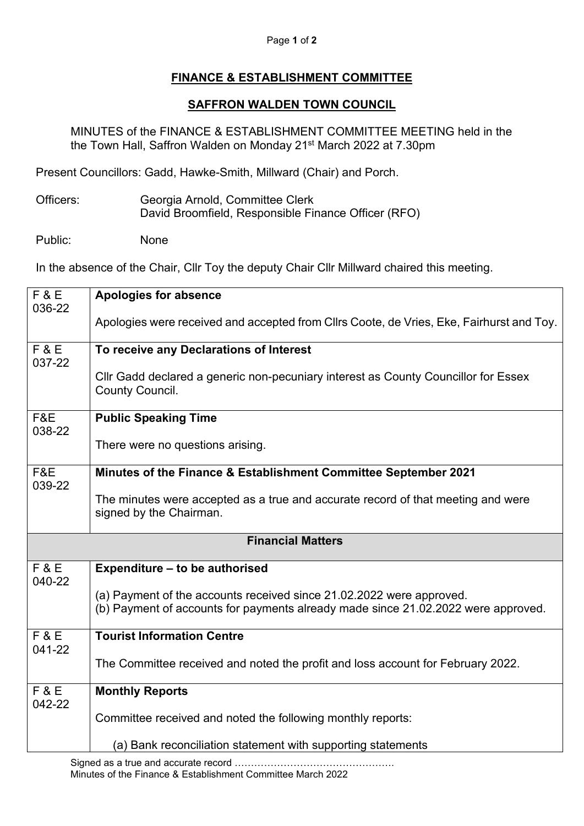## Page **1** of **2**

## **FINANCE & ESTABLISHMENT COMMITTEE**

## **SAFFRON WALDEN TOWN COUNCIL**

MINUTES of the FINANCE & ESTABLISHMENT COMMITTEE MEETING held in the the Town Hall, Saffron Walden on Monday 21st March 2022 at 7.30pm

Present Councillors: Gadd, Hawke-Smith, Millward (Chair) and Porch.

Officers: Georgia Arnold, Committee Clerk David Broomfield, Responsible Finance Officer (RFO)

Public: None

In the absence of the Chair, Cllr Toy the deputy Chair Cllr Millward chaired this meeting.

| F & E<br>036-22          | <b>Apologies for absence</b>                                                                                                                              |
|--------------------------|-----------------------------------------------------------------------------------------------------------------------------------------------------------|
|                          | Apologies were received and accepted from Cllrs Coote, de Vries, Eke, Fairhurst and Toy.                                                                  |
| F & E<br>037-22          | To receive any Declarations of Interest                                                                                                                   |
|                          | CIIr Gadd declared a generic non-pecuniary interest as County Councillor for Essex<br>County Council.                                                     |
| F&E<br>038-22            | <b>Public Speaking Time</b>                                                                                                                               |
|                          | There were no questions arising.                                                                                                                          |
| F&E<br>039-22            | Minutes of the Finance & Establishment Committee September 2021                                                                                           |
|                          | The minutes were accepted as a true and accurate record of that meeting and were<br>signed by the Chairman.                                               |
| <b>Financial Matters</b> |                                                                                                                                                           |
| F & E<br>040-22          | Expenditure - to be authorised                                                                                                                            |
|                          | (a) Payment of the accounts received since 21.02.2022 were approved.<br>(b) Payment of accounts for payments already made since 21.02.2022 were approved. |
| <b>F&amp;E</b><br>041-22 | <b>Tourist Information Centre</b>                                                                                                                         |
|                          | The Committee received and noted the profit and loss account for February 2022.                                                                           |
| <b>F&amp;E</b><br>042-22 | <b>Monthly Reports</b>                                                                                                                                    |
|                          | Committee received and noted the following monthly reports:                                                                                               |
|                          | (a) Bank reconciliation statement with supporting statements                                                                                              |

Signed as a true and accurate record …………………………………………. Minutes of the Finance & Establishment Committee March 2022